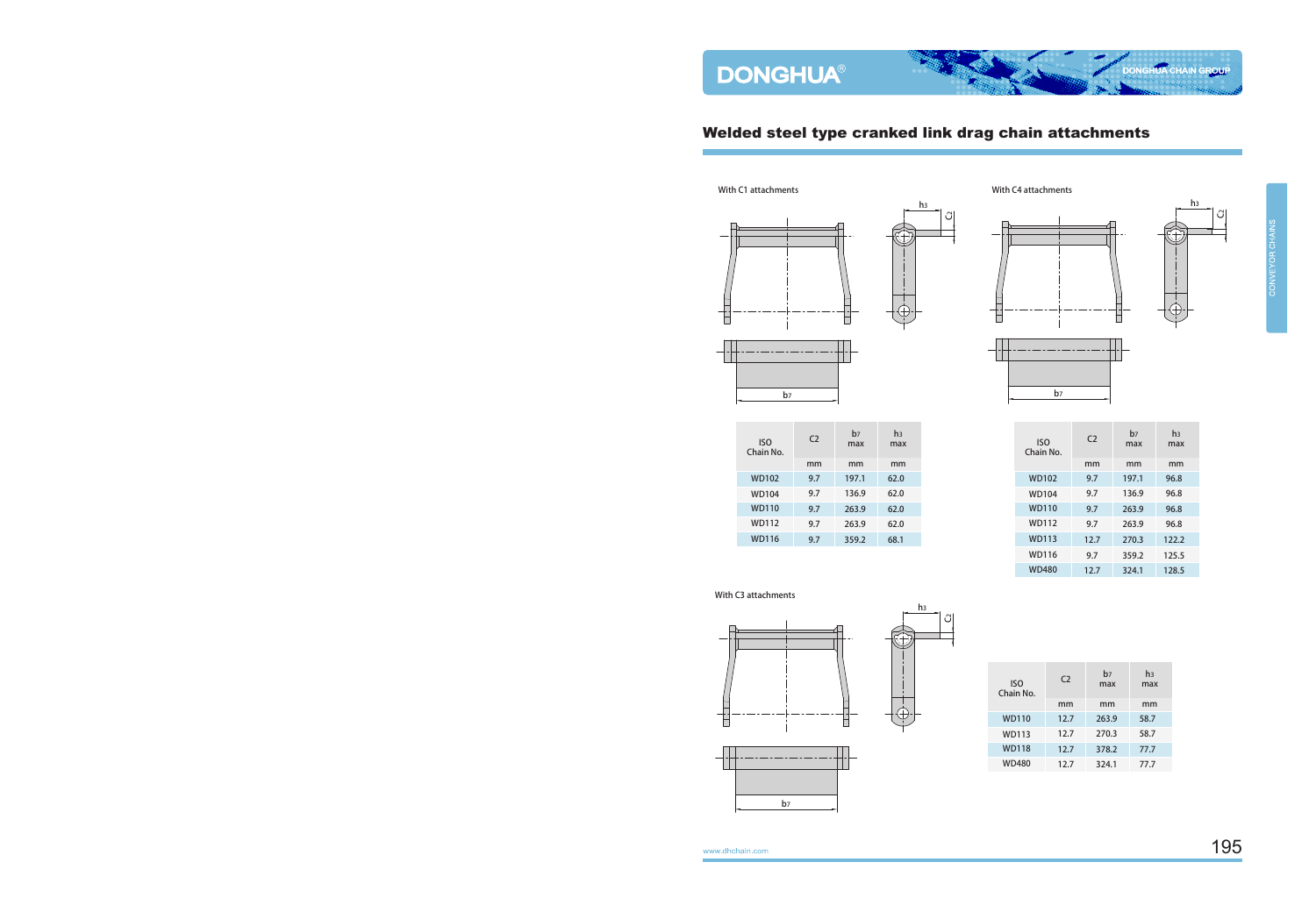With C1 attachments

## Welded steel type cranked link drag chain attachments





mm mm mm b7 max h3 max C2 Chain No. ISO 9.7 197.1 62.0 9.7 136.9 62.0 9.7 263.9 62.0 9.7 263.9 62.0 9.7 359.2 68.1 WD104 WD102 WD110 WD112 WD116



With C4 attachments

b7



**DONGHUA CHAIN GROUP** 

| <b>ISO</b><br>Chain No. | C <sub>2</sub> | b7<br>max | h <sub>3</sub><br>max |
|-------------------------|----------------|-----------|-----------------------|
|                         | mm             | mm        | mm                    |
| <b>WD102</b>            | 9.7            | 197.1     | 96.8                  |
| <b>WD104</b>            | 9.7            | 136.9     | 96.8                  |
| <b>WD110</b>            | 9.7            | 263.9     | 96.8                  |
| <b>WD112</b>            | 9.7            | 263.9     | 96.8                  |
| <b>WD113</b>            | 12.7           | 270.3     | 122.2                 |
| WD116                   | 9.7            | 359.2     | 125.5                 |
| <b>WD480</b>            | 12.7           | 324.1     | 128.5                 |

## With C3 attachments





| <b>ISO</b><br>Chain No. | C <sub>2</sub> | b <sub>7</sub><br>max | hз<br>max |
|-------------------------|----------------|-----------------------|-----------|
|                         | mm             | mm                    | mm        |
| <b>WD110</b>            | 12.7           | 263.9                 | 58.7      |
| <b>WD113</b>            | 12.7           | 270.3                 | 58.7      |
| <b>WD118</b>            | 12.7           | 378.2                 | 77.7      |
| WD480                   | 12.7           | 324.1                 | 77.7      |